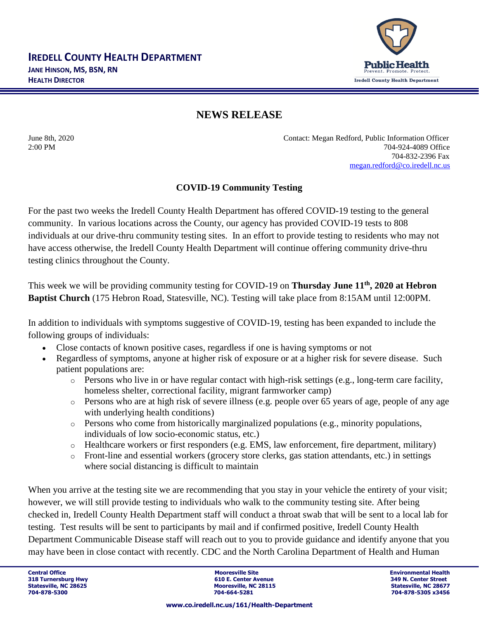

## **NEWS RELEASE**

June 8th, 2020 Contact: Megan Redford, Public Information Officer 2:00 PM 704-924-4089 Office 704-832-2396 Fax [megan.redford@co.iredell.nc.us](mailto:megan.redford@co.iredell.nc.us)

## **COVID-19 Community Testing**

For the past two weeks the Iredell County Health Department has offered COVID-19 testing to the general community. In various locations across the County, our agency has provided COVID-19 tests to 808 individuals at our drive-thru community testing sites. In an effort to provide testing to residents who may not have access otherwise, the Iredell County Health Department will continue offering community drive-thru testing clinics throughout the County.

This week we will be providing community testing for COVID-19 on **Thursday June 11th, 2020 at Hebron Baptist Church** (175 Hebron Road, Statesville, NC). Testing will take place from 8:15AM until 12:00PM.

In addition to individuals with symptoms suggestive of COVID-19, testing has been expanded to include the following groups of individuals:

- Close contacts of known positive cases, regardless if one is having symptoms or not
- Regardless of symptoms, anyone at higher risk of exposure or at a higher risk for severe disease. Such patient populations are:
	- $\circ$  Persons who live in or have regular contact with high-risk settings (e.g., long-term care facility, homeless shelter, correctional facility, migrant farmworker camp)
	- o Persons who are at high risk of severe illness (e.g. people over 65 years of age, people of any age with underlying health conditions)
	- o Persons who come from historically marginalized populations (e.g., minority populations, individuals of low socio-economic status, etc.)
	- $\circ$  Healthcare workers or first responders (e.g. EMS, law enforcement, fire department, military)
	- o Front-line and essential workers (grocery store clerks, gas station attendants, etc.) in settings where social distancing is difficult to maintain

When you arrive at the testing site we are recommending that you stay in your vehicle the entirety of your visit; however, we will still provide testing to individuals who walk to the community testing site. After being checked in, Iredell County Health Department staff will conduct a throat swab that will be sent to a local lab for testing. Test results will be sent to participants by mail and if confirmed positive, Iredell County Health Department Communicable Disease staff will reach out to you to provide guidance and identify anyone that you may have been in close contact with recently. CDC and the North Carolina Department of Health and Human